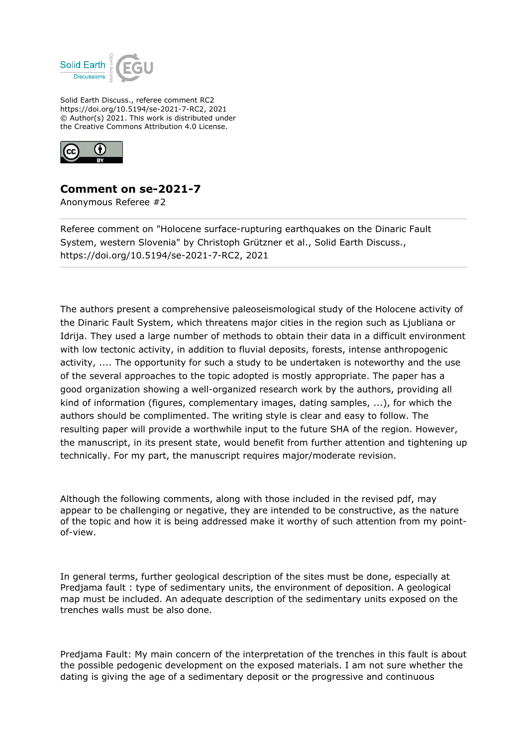

Solid Earth Discuss., referee comment RC2 https://doi.org/10.5194/se-2021-7-RC2, 2021 © Author(s) 2021. This work is distributed under the Creative Commons Attribution 4.0 License.



## **Comment on se-2021-7**

Anonymous Referee #2

Referee comment on "Holocene surface-rupturing earthquakes on the Dinaric Fault System, western Slovenia" by Christoph Grützner et al., Solid Earth Discuss., https://doi.org/10.5194/se-2021-7-RC2, 2021

The authors present a comprehensive paleoseismological study of the Holocene activity of the Dinaric Fault System, which threatens major cities in the region such as Ljubliana or Idrija. They used a large number of methods to obtain their data in a difficult environment with low tectonic activity, in addition to fluvial deposits, forests, intense anthropogenic activity, .... The opportunity for such a study to be undertaken is noteworthy and the use of the several approaches to the topic adopted is mostly appropriate. The paper has a good organization showing a well-organized research work by the authors, providing all kind of information (figures, complementary images, dating samples, ...), for which the authors should be complimented. The writing style is clear and easy to follow. The resulting paper will provide a worthwhile input to the future SHA of the region. However, the manuscript, in its present state, would benefit from further attention and tightening up technically. For my part, the manuscript requires major/moderate revision.

Although the following comments, along with those included in the revised pdf, may appear to be challenging or negative, they are intended to be constructive, as the nature of the topic and how it is being addressed make it worthy of such attention from my pointof-view.

In general terms, further geological description of the sites must be done, especially at Predjama fault : type of sedimentary units, the environment of deposition. A geological map must be included. An adequate description of the sedimentary units exposed on the trenches walls must be also done.

Predjama Fault: My main concern of the interpretation of the trenches in this fault is about the possible pedogenic development on the exposed materials. I am not sure whether the dating is giving the age of a sedimentary deposit or the progressive and continuous